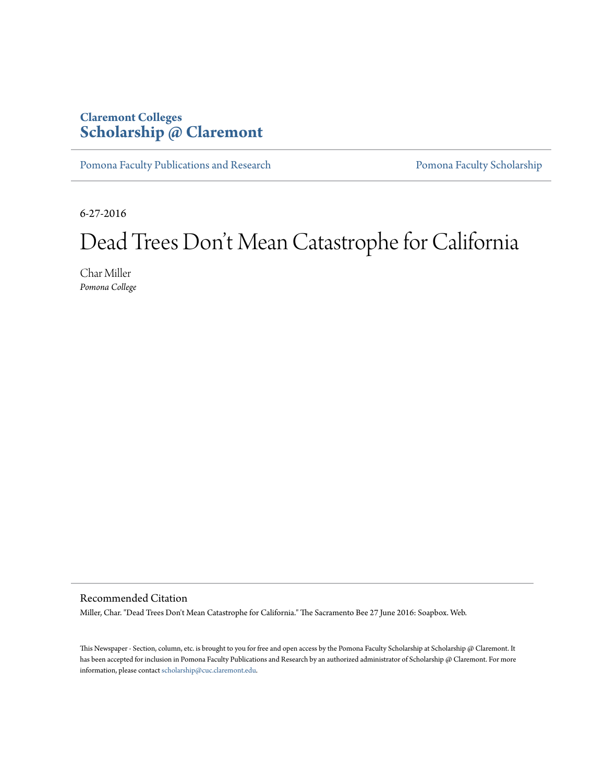## **Claremont Colleges [Scholarship @ Claremont](http://scholarship.claremont.edu)**

[Pomona Faculty Publications and Research](http://scholarship.claremont.edu/pomona_fac_pub) [Pomona Faculty Scholarship](http://scholarship.claremont.edu/pomona_faculty)

6-27-2016

# Dead Trees Don 't Mean Catastrophe for California

Char Miller *Pomona College*

Recommended Citation

Miller, Char. "Dead Trees Don't Mean Catastrophe for California." The Sacramento Bee 27 June 2016: Soapbox. Web.

This Newspaper - Section, column, etc. is brought to you for free and open access by the Pomona Faculty Scholarship at Scholarship @ Claremont. It has been accepted for inclusion in Pomona Faculty Publications and Research by an authorized administrator of Scholarship @ Claremont. For more information, please contact [scholarship@cuc.claremont.edu](mailto:scholarship@cuc.claremont.edu).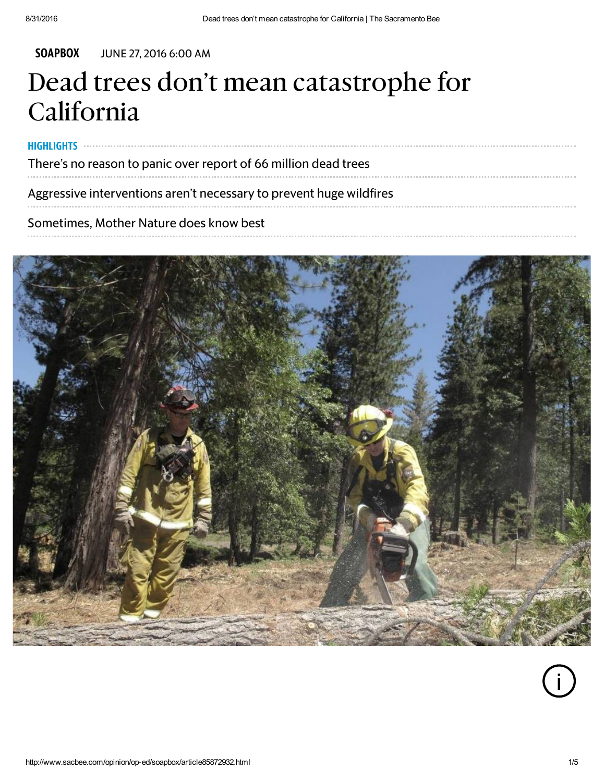HIGHLIGHTS

#### [SOAPBOX](http://www.sacbee.com/opinion/op-ed/soapbox/) JUNE 27, 2016 6:00 AM

# Dead trees don't mean catastrophe for California

There's no reason to panic over report of 66 million dead trees

Aggressive interventions aren't necessary to prevent huge wildfires

Sometimes, Mother Nature does know best



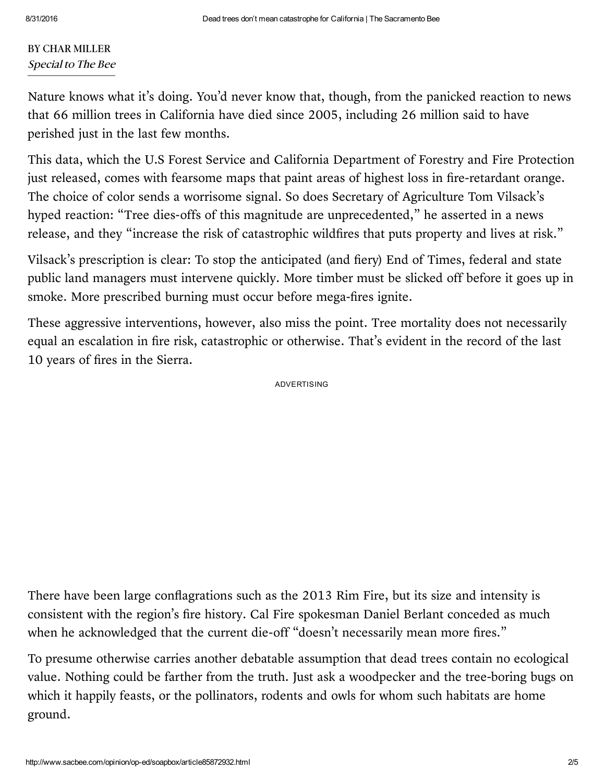#### BY CHAR MILLER Special to The Bee

Nature knows what it's doing. You'd never know that, though, from the panicked reaction to news that 66 million trees in [California](http://www.sacbee.com/news/state/california/water-and-drought/article85312432.html) have died since 2005, including 26 million said to have perished just in the last few months.

This data, which the U.S Forest Service and California Department of Forestry and Fire Protection just released, comes with fearsome maps that paint areas of highest loss in fire-retardant orange. The choice of color sends a worrisome signal. So does Secretary of Agriculture Tom Vilsack's hyped reaction: "Tree dies-offs of this magnitude are unprecedented," he asserted in a news release, and they "increase the risk of catastrophic wildfires that puts property and lives at risk."

Vilsack's prescription is clear: To stop the anticipated (and fiery) End of Times, federal and state public land managers must intervene quickly. More timber must be slicked off before it goes up in smoke. More prescribed burning must occur before mega-fires ignite.

These aggressive interventions, however, also miss the point. Tree mortality does not necessarily equal an escalation in fire risk, [catastrophic](http://www.sacbee.com/opinion/op-ed/soapbox/article30930528.html) or otherwise. That's evident in the record of the last 10 years of fires in the Sierra.

ADVERTISING

There have been large conflagrations such as the 2013 Rim Fire, but its size and intensity is consistent with the region's fire history. Cal Fire spokesman Daniel Berlant conceded as much when he acknowledged that the current die-off "doesn't necessarily mean more fires."

To presume otherwise carries another debatable assumption that dead trees contain no ecological value. Nothing could be farther from the truth. Just ask a woodpecker and the tree-boring bugs on which it happily feasts, or the pollinators, rodents and owls for whom such habitats are home ground.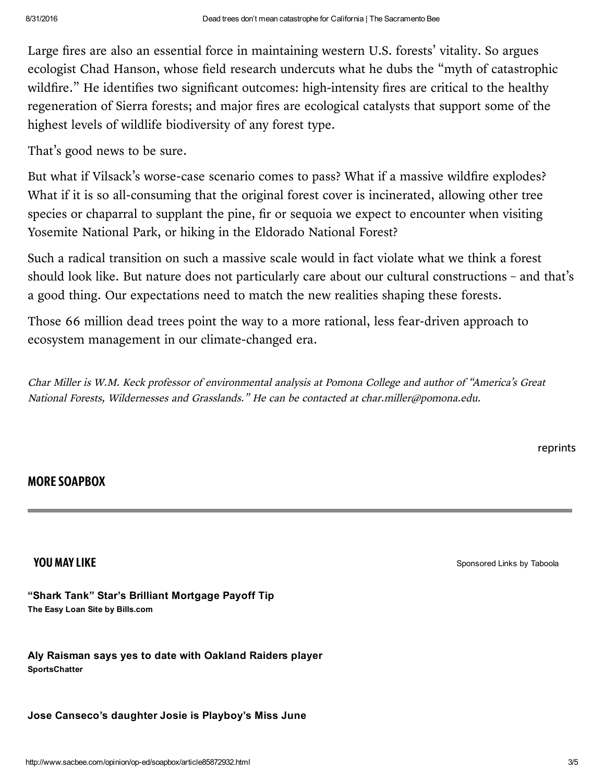Large fires are also an essential force in maintaining western U.S. forests' vitality. So argues ecologist Chad Hanson, whose field research undercuts what he dubs the "myth of catastrophic wildfire." He identifies two significant outcomes: high-intensity fires are critical to the healthy regeneration of Sierra forests; and major fires are ecological catalysts that support some of the highest levels of wildlife biodiversity of any forest type.

That's good news to be sure.

But what if Vilsack's worse-case scenario comes to pass? What if a massive wildfire explodes? What if it is so all-consuming that the original forest cover is incinerated, allowing other tree species or chaparral to supplant the pine, fir or sequoia we expect to encounter when visiting Yosemite National Park, or hiking in the Eldorado National Forest?

Such a radical transition on such a massive scale would in fact violate what we think a forest should look like. But nature does not particularly care about our cultural constructions – and that's a good thing. Our expectations need to match the new realities shaping these forests.

Those 66 million dead trees point the way to a more rational, less fear-driven approach to ecosystem management in our climate-changed era.

Char Miller is W.M. Keck professor of environmental analysis at Pomona College and author of "America's Great National Forests, Wildernesses and Grasslands." He can be contacted at char.miller@pomona.edu.

[reprints](http://www.mcclatchyreprints.com/)

### MORE [SOAPBOX](http://www.sacbee.com/opinion/op-ed/soapbox/)

The Easy Loan Site by Bills.com "Shark Tank" Star's Brilliant [Mortgage](https://www.onesmartpenny.com/landers/pages/mortgage-refinance-shark-4.html?utm_term=barbclose.jpg_2366a2_071116&utm_source=taboola&utm_adgroup=OSP_BC_IMG_Desktop&utm_medium=mcclatchy-thesacramentobee) Payoff Tip

**SportsChatter** Aly [Raisman](http://sacbee-sports-chatter.sacbee.com/sports-talk/slideshow/raiders-player-scores-date-aly-raisman/?utm_source=taboola&utm_medium=referral) says yes to date with Oakland Raiders player

Jose [Canseco's](http://sacbee-sports-chatter.sacbee.com/sports-talk/slideshow/jose-canseco-josie-cansecoplayboys-miss-june/?utm_source=taboola&utm_medium=referral) daughter Josie is Playboy's Miss June

**YOU MAY LIKE** [Sponsored](http://popup.taboola.com/en/?template=colorbox&taboola_utm_source=mcclatchy-thesacramentobee&taboola_utm_medium=bytaboola&taboola_utm_content=thumbnails-e:Below%20Article%20Thumbnails%20Responsive:) Links by [Taboola](http://popup.taboola.com/en/?template=colorbox&taboola_utm_source=mcclatchy-thesacramentobee&taboola_utm_medium=bytaboola&taboola_utm_content=thumbnails-e:Below%20Article%20Thumbnails%20Responsive:)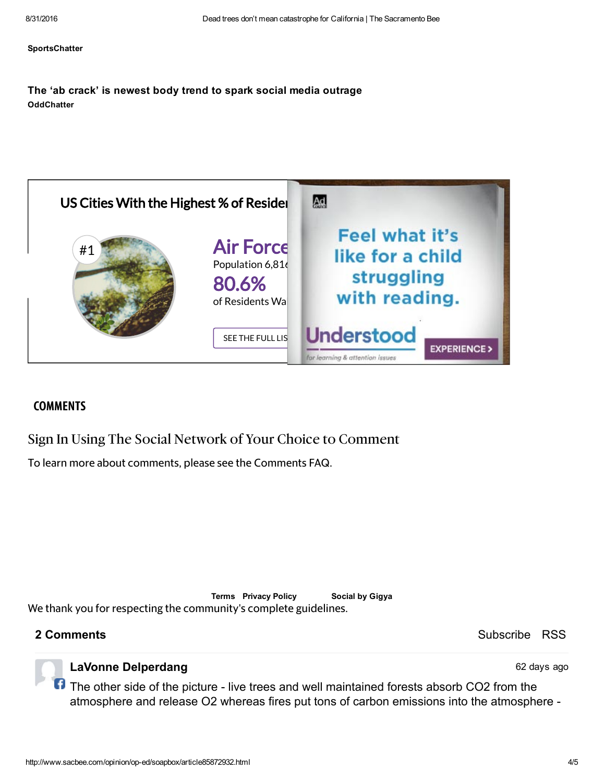#### **[SportsChatter](http://sacbee-sports-chatter.sacbee.com/sports-talk/slideshow/jose-canseco-josie-cansecoplayboys-miss-june/?utm_source=taboola&utm_medium=referral)**

#### **OddChatter** The 'ab crack' is newest body trend to spark social media [outrage](http://sacbee-odd-chatter.sacbee.com/oddity/slideshow/ab-crack-newest-body-trend-spark-social-media-outrage/?utm_source=taboola&utm_medium=referral)



#### **COMMENTS**

Sign In Using The Social Network of Your Choice to Comment

To learn more about comments, please see the [Comments](http://www.sacbee.com/site-services/article2583686.html) FAQ.

[Terms](http://www.sacbee.com/site-services/terms-of-service/) [Privacy](http://www.sacbee.com/site-services/privacy-policy/) Policy Social by Gigya We thank you for respecting the [community's](http://www.sacbee.com/site-services/commenting-policy/) complete guidelines.

2 Comments **Subscribe [RSS](http://comments.us1.gigya.com/comments/rss/177072/Sacbee%20-%20General/www.sacbee.com%2Fopinion%2Fop-ed%2Fsoapbox%2Farticle85872932.html)** Subscribe RSS

62 days ago

### LaVonne Delperdang

The other side of the picture - live trees and well maintained forests absorb CO2 from the atmosphere and release O2 whereas fires put tons of carbon emissions into the atmosphere